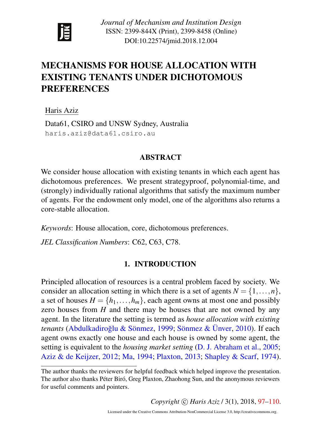

*Journal of Mechanism and Institution Design* ISSN: 2399-844X (Print), 2399-8458 (Online) DOI:10.22574/jmid.2018.12.004

# <span id="page-0-0"></span>MECHANISMS FOR HOUSE ALLOCATION WITH EXISTING TENANTS UNDER DICHOTOMOUS PREFERENCES

Haris Aziz

Data61, CSIRO and UNSW Sydney, Australia haris.aziz@data61.csiro.au

### ABSTRACT

We consider house allocation with existing tenants in which each agent has dichotomous preferences. We present strategyproof, polynomial-time, and (strongly) individually rational algorithms that satisfy the maximum number of agents. For the endowment only model, one of the algorithms also returns a core-stable allocation.

*Keywords*: House allocation, core, dichotomous preferences.

*JEL Classification Numbers*: C62, C63, C78.

### 1. INTRODUCTION

Principled allocation of resources is a central problem faced by society. We consider an allocation setting in which there is a set of agents  $N = \{1, \ldots, n\}$ , a set of houses  $H = \{h_1, \ldots, h_m\}$ , each agent owns at most one and possibly zero houses from *H* and there may be houses that are not owned by any agent. In the literature the setting is termed as *house allocation with existing tenants* (Abdulkadiroğlu & Sönmez, [1999;](#page-12-0) Sönmez & Unver, [2010\)](#page-13-0). If each agent owns exactly one house and each house is owned by some agent, the setting is equivalent to the *housing market setting* [\(D. J. Abraham et al.,](#page-12-1) [2005;](#page-12-1) [Aziz & de Keijzer,](#page-12-2) [2012;](#page-12-2) [Ma,](#page-13-1) [1994;](#page-13-1) [Plaxton,](#page-13-2) [2013;](#page-13-2) [Shapley & Scarf,](#page-13-3) [1974\)](#page-13-3).

*Copyright* © *Haris Aziz* / 3(1), 2018, [97–](#page-0-0)[110.](#page-13-4)

The author thanks the reviewers for helpful feedback which helped improve the presentation. The author also thanks Péter Biró, Greg Plaxton, Zhaohong Sun, and the anonymous reviewers for useful comments and pointers.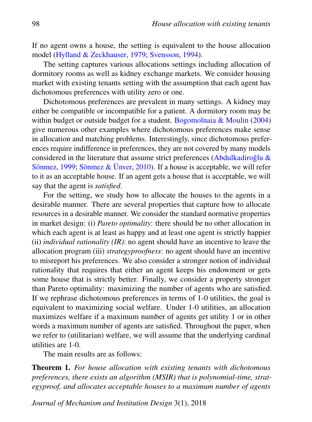If no agent owns a house, the setting is equivalent to the house allocation model [\(Hylland & Zeckhauser,](#page-12-3) [1979;](#page-12-3) [Svensson,](#page-13-5) [1994\)](#page-13-5).

The setting captures various allocations settings including allocation of dormitory rooms as well as kidney exchange markets. We consider housing market with existing tenants setting with the assumption that each agent has dichotomous preferences with utility zero or one.

Dichotomous preferences are prevalent in many settings. A kidney may either be compatible or incompatible for a patient. A dormitory room may be within budget or outside budget for a student. [Bogomolnaia & Moulin](#page-12-4) [\(2004\)](#page-12-4) give numerous other examples where dichotomous preferences make sense in allocation and matching problems. Interestingly, since dichotomous preferences require indifference in preferences, they are not covered by many models considered in the literature that assume strict preferences (Abdulkadiroğlu  $\&$ Sönmez, [1999;](#page-12-0) Sönmez & Ünver, [2010\)](#page-13-0). If a house is acceptable, we will refer to it as an acceptable house. If an agent gets a house that is acceptable, we will say that the agent is *satisfied*.

For the setting, we study how to allocate the houses to the agents in a desirable manner. There are several properties that capture how to allocate resources in a desirable manner. We consider the standard normative properties in market design: (i) *Pareto optimality*: there should be no other allocation in which each agent is at least as happy and at least one agent is strictly happier (ii) *individual rationality (IR)*: no agent should have an incentive to leave the allocation program (iii) *strategyproofness*: no agent should have an incentive to misreport his preferences. We also consider a stronger notion of individual rationality that requires that either an agent keeps his endowment or gets some house that is strictly better. Finally, we consider a property stronger than Pareto optimality: maximizing the number of agents who are satisfied. If we rephrase dichotomous preferences in terms of 1-0 utilities, the goal is equivalent to maximizing social welfare. Under 1-0 utilities, an allocation maximizes welfare if a maximum number of agents get utility 1 or in other words a maximum number of agents are satisfied. Throughout the paper, when we refer to (utilitarian) welfare, we will assume that the underlying cardinal utilities are 1-0.

The main results are as follows:

Theorem 1. *For house allocation with existing tenants with dichotomous preferences, there exists an algorithm (MSIR) that is polynomial-time, strategyproof, and allocates acceptable houses to a maximum number of agents*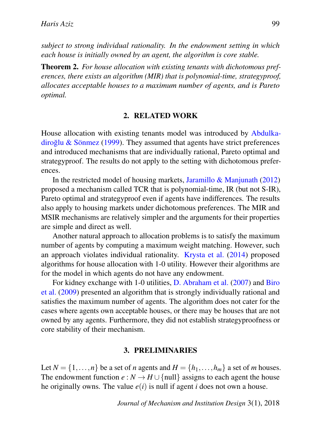*subject to strong individual rationality. In the endowment setting in which each house is initially owned by an agent, the algorithm is core stable.*

Theorem 2. *For house allocation with existing tenants with dichotomous preferences, there exists an algorithm (MIR) that is polynomial-time, strategyproof, allocates acceptable houses to a maximum number of agents, and is Pareto optimal.*

#### 2. RELATED WORK

House allocation with existing tenants model was introduced by [Abdulka](#page-12-0) $div$  [diroglu & S](#page-12-0)önmez [\(1999\)](#page-12-0). They assumed that agents have strict preferences and introduced mechanisms that are individually rational, Pareto optimal and strategyproof. The results do not apply to the setting with dichotomous preferences.

In the restricted model of housing markets, [Jaramillo & Manjunath](#page-12-5) [\(2012\)](#page-12-5) proposed a mechanism called TCR that is polynomial-time, IR (but not S-IR), Pareto optimal and strategyproof even if agents have indifferences. The results also apply to housing markets under dichotomous preferences. The MIR and MSIR mechanisms are relatively simpler and the arguments for their properties are simple and direct as well.

Another natural approach to allocation problems is to satisfy the maximum number of agents by computing a maximum weight matching. However, such an approach violates individual rationality. [Krysta et al.](#page-13-6) [\(2014\)](#page-13-6) proposed algorithms for house allocation with 1-0 utility. However their algorithms are for the model in which agents do not have any endowment.

For kidney exchange with 1-0 utilities, [D. Abraham et al.](#page-12-6) [\(2007\)](#page-12-6) and [Biro](#page-12-7) [et al.](#page-12-7) [\(2009\)](#page-12-7) presented an algorithm that is strongly individually rational and satisfies the maximum number of agents. The algorithm does not cater for the cases where agents own acceptable houses, or there may be houses that are not owned by any agents. Furthermore, they did not establish strategyproofness or core stability of their mechanism.

#### 3. PRELIMINARIES

Let  $N = \{1, \ldots, n\}$  be a set of *n* agents and  $H = \{h_1, \ldots, h_m\}$  a set of *m* houses. The endowment function  $e : N \to H \cup \{\text{null}\}\)$  assigns to each agent the house he originally owns. The value  $e(i)$  is null if agent *i* does not own a house.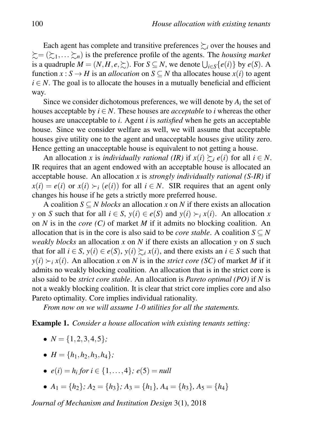Each agent has complete and transitive preferences  $\succsim_i$  over the houses and  $\mathcal{E} = (\mathcal{E}_1, \dots, \mathcal{E}_n)$  is the preference profile of the agents. The *housing market* is a quadruple  $M = (N, H, e, \succsim)$ . For  $S \subseteq N$ , we denote  $\bigcup_{i \in S} \{e(i)\}\$  by  $e(S)$ . A function  $x : S \to H$  is an *allocation* on  $S \subseteq N$  tha allocates house  $x(i)$  to agent  $i \in N$ . The goal is to allocate the houses in a mutually beneficial and efficient way.

Since we consider dichotomous preferences, we will denote by  $A_i$  the set of houses acceptable by  $i \in N$ . These houses are *acceptable* to *i* whereas the other houses are unacceptable to *i*. Agent *i* is *satisfied* when he gets an acceptable house. Since we consider welfare as well, we will assume that acceptable houses give utility one to the agent and unacceptable houses give utility zero. Hence getting an unacceptable house is equivalent to not getting a house.

An allocation *x* is *individually rational (IR)* if  $x(i) \succsim_{i} e(i)$  for all  $i \in N$ . IR requires that an agent endowed with an acceptable house is allocated an acceptable house. An allocation *x* is *strongly individually rational (S-IR)* if  $x(i) = e(i)$  or  $x(i) \succ_i (e(i))$  for all  $i \in N$ . SIR requires that an agent only changes his house if he gets a strictly more preferred house.

A coalition *S* ⊆ *N blocks* an allocation *x* on *N* if there exists an allocation *y* on *S* such that for all  $i \in S$ ,  $y(i) \in e(S)$  and  $y(i) \succ_i x(i)$ . An allocation *x* on *N* is in the *core (C)* of market *M* if it admits no blocking coalition. An allocation that is in the core is also said to be *core stable*. A coalition  $S \subseteq N$ *weakly blocks* an allocation *x* on *N* if there exists an allocation *y* on *S* such that for all  $i \in S$ ,  $y(i) \in e(S)$ ,  $y(i) \succeq_i x(i)$ , and there exists an  $i \in S$  such that  $y(i) \succ_i x(i)$ . An allocation *x* on *N* is in the *strict core (SC)* of market *M* if it admits no weakly blocking coalition. An allocation that is in the strict core is also said to be *strict core stable*. An allocation is *Pareto optimal (PO)* if *N* is not a weakly blocking coalition. It is clear that strict core implies core and also Pareto optimality. Core implies individual rationality.

*From now on we will assume 1-0 utilities for all the statements.*

<span id="page-3-0"></span>Example 1. *Consider a house allocation with existing tenants setting:*

- $N = \{1, 2, 3, 4, 5\}$ ;
- $H = \{h_1, h_2, h_3, h_4\}$ ;
- $e(i) = h_i$  for  $i \in \{1, ..., 4\}$ ;  $e(5) = null$
- $A_1 = \{h_2\}$ ;  $A_2 = \{h_3\}$ ;  $A_3 = \{h_1\}$ ,  $A_4 = \{h_3\}$ ,  $A_5 = \{h_4\}$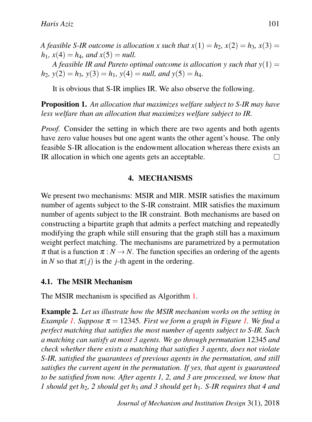*A feasible S-IR outcome is allocation x such that*  $x(1) = h_2$ ,  $x(2) = h_3$ ,  $x(3) = h_4$  $h_1$ ,  $x(4) = h_4$ , and  $x(5) = null$ .

*A feasible IR and Pareto optimal outcome is allocation*  $\gamma$  *such that*  $\gamma(1)$  =  $h_2$ ,  $y(2) = h_3$ ,  $y(3) = h_1$ ,  $y(4) = null$ , and  $y(5) = h_4$ .

It is obvious that S-IR implies IR. We also observe the following.

Proposition 1. *An allocation that maximizes welfare subject to S-IR may have less welfare than an allocation that maximizes welfare subject to IR.*

*Proof.* Consider the setting in which there are two agents and both agents have zero value houses but one agent wants the other agent's house. The only feasible S-IR allocation is the endowment allocation whereas there exists an IR allocation in which one agents gets an acceptable. П

### 4. MECHANISMS

We present two mechanisms: MSIR and MIR. MSIR satisfies the maximum number of agents subject to the S-IR constraint. MIR satisfies the maximum number of agents subject to the IR constraint. Both mechanisms are based on constructing a bipartite graph that admits a perfect matching and repeatedly modifying the graph while still ensuring that the graph still has a maximum weight perfect matching. The mechanisms are parametrized by a permutation  $\pi$  that is a function  $\pi : N \to N$ . The function specifies an ordering of the agents in *N* so that  $\pi(j)$  is the *j*-th agent in the ordering.

### 4.1. The MSIR Mechanism

The MSIR mechanism is specified as Algorithm [1.](#page-5-0)

Example 2. *Let us illustrate how the MSIR mechanism works on the setting in Example* [1.](#page-6-0) Suppose  $\pi = 12345$ *. First we form a graph in Figure 1. We find a perfect matching that satisfies the most number of agents subject to S-IR. Such a matching can satisfy at most 3 agents. We go through permutation* 12345 *and check whether there exists a matching that satisfies 3 agents, does not violate S-IR, satisfied the guarantees of previous agents in the permutation, and still satisfies the current agent in the permutation. If yes, that agent is guaranteed to be satisfied from now. After agents 1, 2, and 3 are processed, we know that 1 should get h*2*, 2 should get h*<sup>3</sup> *and 3 should get h*1*. S-IR requires that 4 and*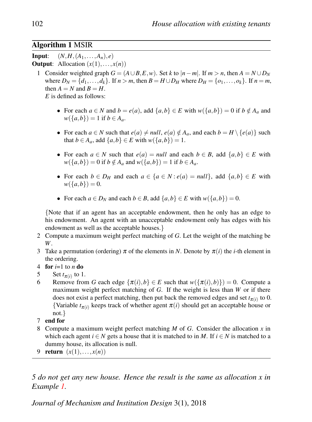### Algorithm 1 MSIR

**Input:**  $(N, H, (A_1, \ldots, A_n), e)$ 

**Output:** Allocation  $(x(1),...,x(n))$ 

- 1 Consider weighted graph  $G = (A \cup B, E, w)$ . Set *k* to  $|n m|$ . If  $m > n$ , then  $A = N \cup D_N$ where  $D_N = \{d_1, \ldots, d_k\}$ . If  $n > m$ , then  $B = H \cup D_H$  where  $D_H = \{o_1, \ldots, o_k\}$ . If  $n = m$ , then  $A = N$  and  $B = H$ . *E* is defined as follows:
	- For each  $a \in N$  and  $b = e(a)$ , add  $\{a,b\} \in E$  with  $w(\{a,b\}) = 0$  if  $b \notin A_a$  and *w*({*a*,*b*}) = 1 if *b* ∈ *A*<sub>*a*</sub>.
	- For each  $a \in N$  such that  $e(a) \neq null$ ,  $e(a) \notin A_a$ , and each  $b = H \setminus \{e(a)\}$  such that  $b \in A_a$ , add  $\{a,b\} \in E$  with  $w(\{a,b\}) = 1$ .
	- For each  $a \in N$  such that  $e(a) = null$  and each  $b \in B$ , add  $\{a, b\} \in E$  with  $w({a,b}) = 0$  if  $b \notin A_a$  and  $w({a,b}) = 1$  if  $b \in A_a$ .
	- For each  $b \in D_H$  and each  $a \in \{a \in N : e(a) = null\}$ , add  $\{a, b\} \in E$  with  $w({a,b}) = 0.$
	- For each  $a \in D_N$  and each  $b \in B$ , add  $\{a, b\} \in E$  with  $w(\{a, b\}) = 0$ .

{Note that if an agent has an acceptable endowment, then he only has an edge to his endowment. An agent with an unacceptable endowment only has edges with his endowment as well as the acceptable houses.}

- 2 Compute a maximum weight perfect matching of *G*. Let the weight of the matching be *W*.
- 3 Take a permutation (ordering)  $\pi$  of the elements in *N*. Denote by  $\pi(i)$  the *i*-th element in the ordering.
- 4 for  $i=1$  to  $n$  do
- 5 Set  $t_{\pi(i)}$  to 1.
- 6 Remove from *G* each edge  $\{\pi(i), b\} \in E$  such that  $w(\{\pi(i), b\}) = 0$ . Compute a maximum weight perfect matching of *G*. If the weight is less than *W* or if there does not exist a perfect matching, then put back the removed edges and set  $t_{\pi(i)}$  to 0. {Variable  $t_{\pi(i)}$  keeps track of whether agent  $\pi(i)$  should get an acceptable house or not.}
- 7 end for
- 8 Compute a maximum weight perfect matching *M* of *G*. Consider the allocation *x* in which each agent *i*  $\in$  *N* gets a house that it is matched to in *M*. If *i*  $\in$  *N* is matched to a dummy house, its allocation is null.
- <span id="page-5-0"></span>9 return  $(x(1),...,x(n))$

*5 do not get any new house. Hence the result is the same as allocation x in Example [1.](#page-3-0)*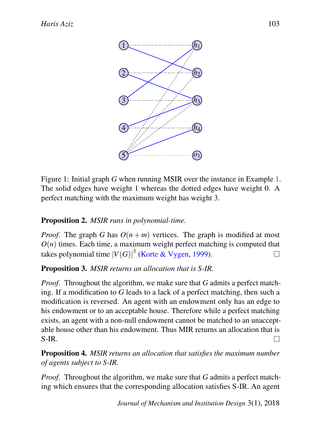<span id="page-6-0"></span>

Figure 1: Initial graph *G* when running MSIR over the instance in Example [1.](#page-3-0) The solid edges have weight 1 whereas the dotted edges have weight 0. A perfect matching with the maximum weight has weight 3.

## Proposition 2. *MSIR runs in polynomial-time.*

*Proof.* The graph *G* has  $O(n+m)$  vertices. The graph is modified at most  $O(n)$  times. Each time, a maximum weight perfect matching is computed that takes polynomial time  $|V(G)|^3$  [\(Korte & Vygen,](#page-12-8) [1999\)](#page-12-8). П

## Proposition 3. *MSIR returns an allocation that is S-IR.*

*Proof.* Throughout the algorithm, we make sure that *G* admits a perfect matching. If a modification to *G* leads to a lack of a perfect matching, then such a modification is reversed. An agent with an endowment only has an edge to his endowment or to an acceptable house. Therefore while a perfect matching exists, an agent with a non-null endowment cannot be matched to an unacceptable house other than his endowment. Thus MIR returns an allocation that is S-IR. П

Proposition 4. *MSIR returns an allocation that satisfies the maximum number of agents subject to S-IR.*

*Proof.* Throughout the algorithm, we make sure that *G* admits a perfect matching which ensures that the corresponding allocation satisfies S-IR. An agent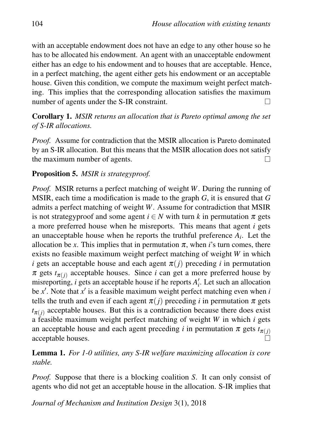with an acceptable endowment does not have an edge to any other house so he has to be allocated his endowment. An agent with an unacceptable endowment either has an edge to his endowment and to houses that are acceptable. Hence, in a perfect matching, the agent either gets his endowment or an acceptable house. Given this condition, we compute the maximum weight perfect matching. This implies that the corresponding allocation satisfies the maximum  $\Box$ number of agents under the S-IR constraint.

Corollary 1. *MSIR returns an allocation that is Pareto optimal among the set of S-IR allocations.*

*Proof.* Assume for contradiction that the MSIR allocation is Pareto dominated by an S-IR allocation. But this means that the MSIR allocation does not satisfy the maximum number of agents.  $\Box$ 

### Proposition 5. *MSIR is strategyproof.*

*Proof.* MSIR returns a perfect matching of weight *W*. During the running of MSIR, each time a modification is made to the graph *G*, it is ensured that *G* admits a perfect matching of weight *W*. Assume for contradiction that MSIR is not strategyproof and some agent  $i \in N$  with turn k in permutation  $\pi$  gets a more preferred house when he misreports. This means that agent *i* gets an unacceptable house when he reports the truthful preference  $A_i$ . Let the allocation be *x*. This implies that in permutation  $\pi$ , when *i*'s turn comes, there exists no feasible maximum weight perfect matching of weight *W* in which *i* gets an acceptable house and each agent  $\pi(j)$  preceding *i* in permutation  $\pi$  gets  $t_{\pi(i)}$  acceptable houses. Since *i* can get a more preferred house by misreporting, *i* gets an acceptable house if he reports  $A'_i$ . Let such an allocation be  $x'$ . Note that  $x'$  is a feasible maximum weight perfect matching even when *i* tells the truth and even if each agent  $\pi(j)$  preceding *i* in permutation  $\pi$  gets  $t_{\pi(i)}$  acceptable houses. But this is a contradiction because there does exist a feasible maximum weight perfect matching of weight *W* in which *i* gets an acceptable house and each agent preceding *i* in permutation  $\pi$  gets  $t_{\pi(i)}$ acceptable houses.  $\Box$ 

Lemma 1. *For 1-0 utilities, any S-IR welfare maximizing allocation is core stable.*

*Proof.* Suppose that there is a blocking coalition *S*. It can only consist of agents who did not get an acceptable house in the allocation. S-IR implies that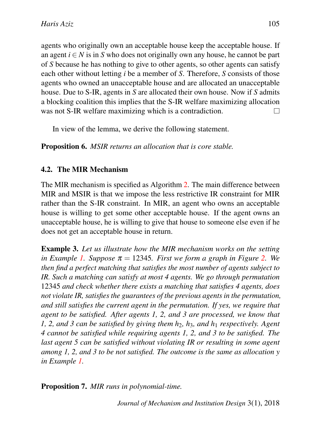agents who originally own an acceptable house keep the acceptable house. If an agent  $i \in N$  is in S who does not originally own any house, he cannot be part of *S* because he has nothing to give to other agents, so other agents can satisfy each other without letting *i* be a member of *S*. Therefore, *S* consists of those agents who owned an unacceptable house and are allocated an unacceptable house. Due to S-IR, agents in *S* are allocated their own house. Now if *S* admits a blocking coalition this implies that the S-IR welfare maximizing allocation was not S-IR welfare maximizing which is a contradiction. П

In view of the lemma, we derive the following statement.

Proposition 6. *MSIR returns an allocation that is core stable.*

### 4.2. The MIR Mechanism

The MIR mechanism is specified as Algorithm [2.](#page-10-0) The main difference between MIR and MSIR is that we impose the less restrictive IR constraint for MIR rather than the S-IR constraint. In MIR, an agent who owns an acceptable house is willing to get some other acceptable house. If the agent owns an unacceptable house, he is willing to give that house to someone else even if he does not get an acceptable house in return.

Example 3. *Let us illustrate how the MIR mechanism works on the setting in Example [1.](#page-3-0) Suppose*  $\pi = 12345$ *. First we form a graph in Figure [2.](#page-9-0) We then find a perfect matching that satisfies the most number of agents subject to IR. Such a matching can satisfy at most 4 agents. We go through permutation* 12345 *and check whether there exists a matching that satisfies 4 agents, does not violate IR, satisfies the guarantees of the previous agents in the permutation, and still satisfies the current agent in the permutation. If yes, we require that agent to be satisfied. After agents 1, 2, and 3 are processed, we know that 1, 2, and 3 can be satisfied by giving them h*2*, h*3*, and h*<sup>1</sup> *respectively. Agent 4 cannot be satisfied while requiring agents 1, 2, and 3 to be satisfied. The last agent 5 can be satisfied without violating IR or resulting in some agent among 1, 2, and 3 to be not satisfied. The outcome is the same as allocation y in Example [1.](#page-3-0)*

Proposition 7. *MIR runs in polynomial-time.*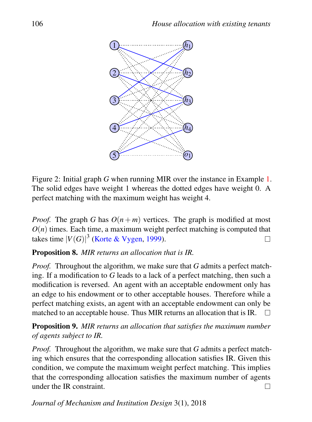<span id="page-9-0"></span>

Figure 2: Initial graph *G* when running MIR over the instance in Example [1.](#page-3-0) The solid edges have weight 1 whereas the dotted edges have weight 0. A perfect matching with the maximum weight has weight 4.

*Proof.* The graph *G* has  $O(n+m)$  vertices. The graph is modified at most  $O(n)$  times. Each time, a maximum weight perfect matching is computed that takes time  $|V(G)|^3$  [\(Korte & Vygen,](#page-12-8) [1999\)](#page-12-8).  $\Box$ 

## Proposition 8. *MIR returns an allocation that is IR.*

*Proof.* Throughout the algorithm, we make sure that *G* admits a perfect matching. If a modification to *G* leads to a lack of a perfect matching, then such a modification is reversed. An agent with an acceptable endowment only has an edge to his endowment or to other acceptable houses. Therefore while a perfect matching exists, an agent with an acceptable endowment can only be matched to an acceptable house. Thus MIR returns an allocation that is IR.  $\square$ 

Proposition 9. *MIR returns an allocation that satisfies the maximum number of agents subject to IR.*

*Proof.* Throughout the algorithm, we make sure that *G* admits a perfect matching which ensures that the corresponding allocation satisfies IR. Given this condition, we compute the maximum weight perfect matching. This implies that the corresponding allocation satisfies the maximum number of agents under the IR constraint.  $\Box$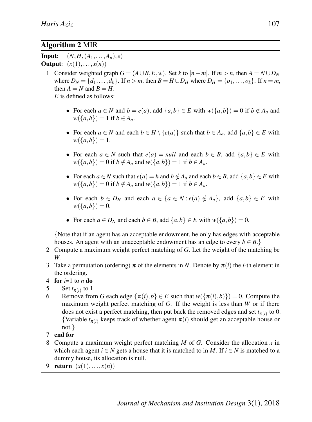### Algorithm 2 MIR

**Input:**  $(N, H, (A_1, \ldots, A_n), e)$ Output:  $(x(1),...,x(n))$ 

1 Consider weighted graph  $G = (A \cup B, E, w)$ . Set *k* to  $|n - m|$ . If  $m > n$ , then  $A = N \cup D_N$ where  $D_N = \{d_1, \ldots, d_k\}$ . If  $n > m$ , then  $B = H \cup D_H$  where  $D_H = \{o_1, \ldots, o_k\}$ . If  $n = m$ , then  $A = N$  and  $B = H$ .

*E* is defined as follows:

- For each  $a \in N$  and  $b = e(a)$ , add  $\{a,b\} \in E$  with  $w(\{a,b\}) = 0$  if  $b \notin A_a$  and *w*({*a*,*b*}) = 1 if *b* ∈ *A*<sub>*a*</sub>.
- For each  $a \in N$  and each  $b \in H \setminus \{e(a)\}\$  such that  $b \in A_a$ , add  $\{a,b\} \in E$  with  $w({a,b}) = 1.$
- For each  $a \in N$  such that  $e(a) = null$  and each  $b \in B$ , add  $\{a, b\} \in E$  with  $w({a,b}) = 0$  if  $b \notin A_a$  and  $w({a,b}) = 1$  if  $b \in A_a$ .
- For each  $a \in N$  such that  $e(a) = h$  and  $h \notin A_a$  and each  $b \in B$ , add  $\{a, b\} \in E$  with  $w({a,b}) = 0$  if  $b \notin A_a$  and  $w({a,b}) = 1$  if  $b \in A_a$ .
- For each  $b \in D_H$  and each  $a \in \{a \in N : e(a) \notin A_a\}$ , add  $\{a,b\} \in E$  with  $w({a,b}) = 0.$
- For each  $a \in D_N$  and each  $b \in B$ , add  $\{a,b\} \in E$  with  $w(\{a,b\}) = 0$ .

{Note that if an agent has an acceptable endowment, he only has edges with acceptable houses. An agent with an unacceptable endowment has an edge to every  $b \in B$ .}

- 2 Compute a maximum weight perfect matching of *G*. Let the weight of the matching be *W*.
- 3 Take a permutation (ordering)  $\pi$  of the elements in *N*. Denote by  $\pi(i)$  the *i*-th element in the ordering.
- 4 for  $i=1$  to *n* do
- 5 Set  $t_{\pi(i)}$  to 1.
- 6 Remove from *G* each edge  $\{\pi(i), b\} \in E$  such that  $w(\{\pi(i), b\}) = 0$ . Compute the maximum weight perfect matching of *G*. If the weight is less than *W* or if there does not exist a perfect matching, then put back the removed edges and set  $t_{\pi(i)}$  to 0. {Variable  $t_{\pi(i)}$  keeps track of whether agent  $\pi(i)$  should get an acceptable house or not.}
- 7 end for
- 8 Compute a maximum weight perfect matching *M* of *G*. Consider the allocation *x* in which each agent  $i \in N$  gets a house that it is matched to in *M*. If  $i \in N$  is matched to a dummy house, its allocation is null.
- <span id="page-10-0"></span>9 return  $(x(1),...,x(n))$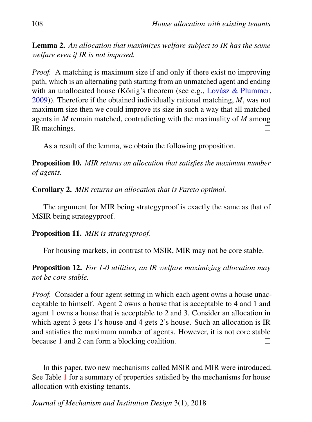Lemma 2. *An allocation that maximizes welfare subject to IR has the same welfare even if IR is not imposed.*

*Proof.* A matching is maximum size if and only if there exist no improving path, which is an alternating path starting from an unmatched agent and ending with an unallocated house (König's theorem (see e.g., Lovász & Plummer, [2009\)](#page-13-7)). Therefore if the obtained individually rational matching, *M*, was not maximum size then we could improve its size in such a way that all matched agents in *M* remain matched, contradicting with the maximality of *M* among IR matchings.  $\Box$ 

As a result of the lemma, we obtain the following proposition.

Proposition 10. *MIR returns an allocation that satisfies the maximum number of agents.*

Corollary 2. *MIR returns an allocation that is Pareto optimal.*

The argument for MIR being strategyproof is exactly the same as that of MSIR being strategyproof.

Proposition 11. *MIR is strategyproof.*

For housing markets, in contrast to MSIR, MIR may not be core stable.

Proposition 12. *For 1-0 utilities, an IR welfare maximizing allocation may not be core stable.*

*Proof.* Consider a four agent setting in which each agent owns a house unacceptable to himself. Agent 2 owns a house that is acceptable to 4 and 1 and agent 1 owns a house that is acceptable to 2 and 3. Consider an allocation in which agent 3 gets 1's house and 4 gets 2's house. Such an allocation is IR and satisfies the maximum number of agents. However, it is not core stable because 1 and 2 can form a blocking coalition.  $\Box$ 

In this paper, two new mechanisms called MSIR and MIR were introduced. See Table [1](#page-12-9) for a summary of properties satisfied by the mechanisms for house allocation with existing tenants.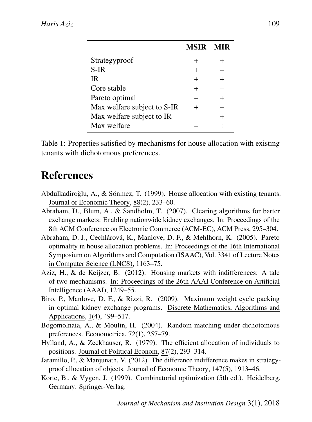<span id="page-12-9"></span>

|                             | <b>MSIR</b> |  |
|-----------------------------|-------------|--|
| Strategyproof               | $\div$      |  |
| $S-IR$                      | $\div$      |  |
| <b>IR</b>                   | ┿           |  |
| Core stable                 | $\pm$       |  |
| Pareto optimal              |             |  |
| Max welfare subject to S-IR | ┿           |  |
| Max welfare subject to IR   |             |  |
| Max welfare                 |             |  |

Table 1: Properties satisfied by mechanisms for house allocation with existing tenants with dichotomous preferences.

# References

- <span id="page-12-0"></span>Abdulkadiroğlu, A., & Sönmez, T. (1999). House allocation with existing tenants. Journal of Economic Theory, 88(2), 233–60.
- <span id="page-12-6"></span>Abraham, D., Blum, A., & Sandholm, T. (2007). Clearing algorithms for barter exchange markets: Enabling nationwide kidney exchanges. In: Proceedings of the 8th ACM Conference on Electronic Commerce (ACM-EC), ACM Press, 295–304.
- <span id="page-12-1"></span>Abraham, D. J., Cechlárová, K., Manlove, D. F., & Mehlhorn, K. (2005). Pareto optimality in house allocation problems. In: Proceedings of the 16th International Symposium on Algorithms and Computation (ISAAC), Vol. 3341 of Lecture Notes in Computer Science (LNCS), 1163–75.
- <span id="page-12-2"></span>Aziz, H., & de Keijzer, B. (2012). Housing markets with indifferences: A tale of two mechanisms. In: Proceedings of the 26th AAAI Conference on Artificial Intelligence (AAAI), 1249–55.
- <span id="page-12-7"></span>Biro, P., Manlove, D. F., & Rizzi, R. (2009). Maximum weight cycle packing in optimal kidney exchange programs. Discrete Mathematics, Algorithms and Applications, 1(4), 499–517.
- <span id="page-12-4"></span>Bogomolnaia, A., & Moulin, H. (2004). Random matching under dichotomous preferences. Econometrica, 72(1), 257–79.
- <span id="page-12-3"></span>Hylland, A., & Zeckhauser, R. (1979). The efficient allocation of individuals to positions. Journal of Political Econom, 87(2), 293–314.
- <span id="page-12-5"></span>Jaramillo, P., & Manjunath, V. (2012). The difference indifference makes in strategyproof allocation of objects. Journal of Economic Theory, 147(5), 1913–46.
- <span id="page-12-8"></span>Korte, B., & Vygen, J. (1999). Combinatorial optimization (5th ed.). Heidelberg, Germany: Springer-Verlag.